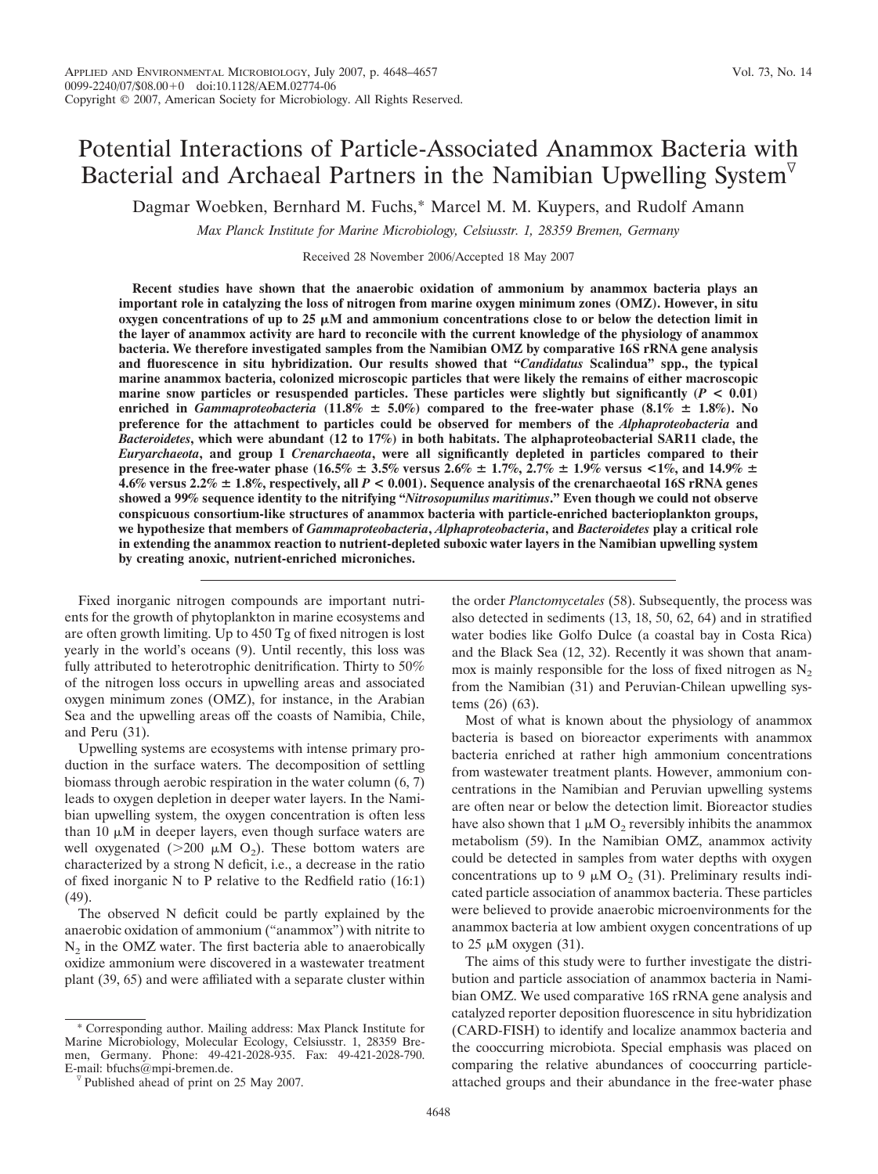# Potential Interactions of Particle-Associated Anammox Bacteria with Bacterial and Archaeal Partners in the Namibian Upwelling System

Dagmar Woebken, Bernhard M. Fuchs,\* Marcel M. M. Kuypers, and Rudolf Amann

*Max Planck Institute for Marine Microbiology, Celsiusstr. 1, 28359 Bremen, Germany*

Received 28 November 2006/Accepted 18 May 2007

**Recent studies have shown that the anaerobic oxidation of ammonium by anammox bacteria plays an important role in catalyzing the loss of nitrogen from marine oxygen minimum zones (OMZ). However, in situ**  $\alpha$ ygen concentrations of up to 25  $\mu$ M and ammonium concentrations close to or below the detection limit in **the layer of anammox activity are hard to reconcile with the current knowledge of the physiology of anammox bacteria. We therefore investigated samples from the Namibian OMZ by comparative 16S rRNA gene analysis and fluorescence in situ hybridization. Our results showed that "***Candidatus* **Scalindua" spp., the typical marine anammox bacteria, colonized microscopic particles that were likely the remains of either macroscopic marine snow particles or resuspended particles. These particles were slightly but significantly (***P* **< 0.01) enriched in** *Gammaproteobacteria* (11.8%  $\pm$  5.0%) compared to the free-water phase (8.1%  $\pm$  1.8%). No **preference for the attachment to particles could be observed for members of the** *Alphaproteobacteria* **and** *Bacteroidetes***, which were abundant (12 to 17%) in both habitats. The alphaproteobacterial SAR11 clade, the** *Euryarchaeota***, and group I** *Crenarchaeota***, were all significantly depleted in particles compared to their presence in the free-water phase** (16.5%  $\pm$  3.5% versus 2.6%  $\pm$  1.7%, 2.7%  $\pm$  1.9% versus <1%, and 14.9%  $\pm$ **4.6% versus 2.2%** - **1.8%, respectively, all** *P* **< 0.001). Sequence analysis of the crenarchaeotal 16S rRNA genes showed a 99% sequence identity to the nitrifying "***Nitrosopumilus maritimus***." Even though we could not observe conspicuous consortium-like structures of anammox bacteria with particle-enriched bacterioplankton groups, we hypothesize that members of** *Gammaproteobacteria***,** *Alphaproteobacteria***, and** *Bacteroidetes* **play a critical role in extending the anammox reaction to nutrient-depleted suboxic water layers in the Namibian upwelling system by creating anoxic, nutrient-enriched microniches.**

Fixed inorganic nitrogen compounds are important nutrients for the growth of phytoplankton in marine ecosystems and are often growth limiting. Up to 450 Tg of fixed nitrogen is lost yearly in the world's oceans (9). Until recently, this loss was fully attributed to heterotrophic denitrification. Thirty to 50% of the nitrogen loss occurs in upwelling areas and associated oxygen minimum zones (OMZ), for instance, in the Arabian Sea and the upwelling areas off the coasts of Namibia, Chile, and Peru (31).

Upwelling systems are ecosystems with intense primary production in the surface waters. The decomposition of settling biomass through aerobic respiration in the water column (6, 7) leads to oxygen depletion in deeper water layers. In the Namibian upwelling system, the oxygen concentration is often less than  $10 \mu M$  in deeper layers, even though surface waters are well oxygenated ( $>$ 200  $\mu$ M O<sub>2</sub>). These bottom waters are characterized by a strong N deficit, i.e., a decrease in the ratio of fixed inorganic N to P relative to the Redfield ratio (16:1) (49).

The observed N deficit could be partly explained by the anaerobic oxidation of ammonium ("anammox") with nitrite to  $N<sub>2</sub>$  in the OMZ water. The first bacteria able to anaerobically oxidize ammonium were discovered in a wastewater treatment plant (39, 65) and were affiliated with a separate cluster within

\* Corresponding author. Mailing address: Max Planck Institute for Marine Microbiology, Molecular Ecology, Celsiusstr. 1, 28359 Bremen, Germany. Phone: 49-421-2028-935. Fax: 49-421-2028-790.

the order *Planctomycetales* (58). Subsequently, the process was also detected in sediments (13, 18, 50, 62, 64) and in stratified water bodies like Golfo Dulce (a coastal bay in Costa Rica) and the Black Sea (12, 32). Recently it was shown that anammox is mainly responsible for the loss of fixed nitrogen as  $N_2$ from the Namibian (31) and Peruvian-Chilean upwelling systems (26) (63).

Most of what is known about the physiology of anammox bacteria is based on bioreactor experiments with anammox bacteria enriched at rather high ammonium concentrations from wastewater treatment plants. However, ammonium concentrations in the Namibian and Peruvian upwelling systems are often near or below the detection limit. Bioreactor studies have also shown that  $1 \mu M O_2$  reversibly inhibits the anammox metabolism (59). In the Namibian OMZ, anammox activity could be detected in samples from water depths with oxygen concentrations up to 9  $\mu$ M O<sub>2</sub> (31). Preliminary results indicated particle association of anammox bacteria. These particles were believed to provide anaerobic microenvironments for the anammox bacteria at low ambient oxygen concentrations of up to  $25 \mu M$  oxygen (31).

The aims of this study were to further investigate the distribution and particle association of anammox bacteria in Namibian OMZ. We used comparative 16S rRNA gene analysis and catalyzed reporter deposition fluorescence in situ hybridization (CARD-FISH) to identify and localize anammox bacteria and the cooccurring microbiota. Special emphasis was placed on comparing the relative abundances of cooccurring particleattached groups and their abundance in the free-water phase

 $\nabla$  Published ahead of print on 25 May 2007.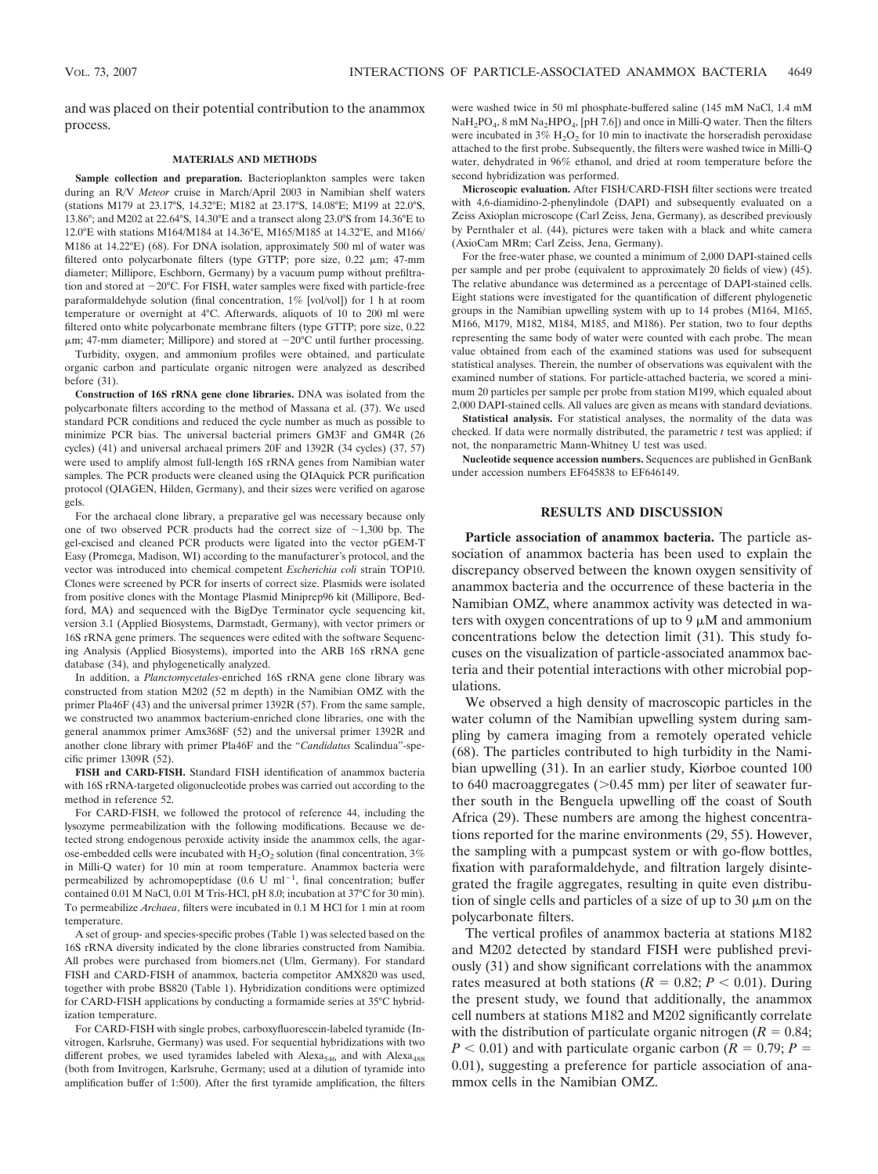and was placed on their potential contribution to the anammox process.

### **MATERIALS AND METHODS**

**Sample collection and preparation.** Bacterioplankton samples were taken during an R/V *Meteor* cruise in March/April 2003 in Namibian shelf waters (stations M179 at 23.17°S, 14.32°E; M182 at 23.17°S, 14.08°E; M199 at 22.0°S, 13.86°; and M202 at 22.64°S, 14.30°E and a transect along 23.0°S from 14.36°E to 12.0°E with stations M164/M184 at 14.36°E, M165/M185 at 14.32°E, and M166/ M186 at 14.22°E) (68). For DNA isolation, approximately 500 ml of water was filtered onto polycarbonate filters (type GTTP; pore size,  $0.22 \mu m$ ; 47-mm diameter; Millipore, Eschborn, Germany) by a vacuum pump without prefiltration and stored at  $-20^{\circ}$ C. For FISH, water samples were fixed with particle-free paraformaldehyde solution (final concentration, 1% [vol/vol]) for 1 h at room temperature or overnight at 4°C. Afterwards, aliquots of 10 to 200 ml were filtered onto white polycarbonate membrane filters (type GTTP; pore size, 0.22  $\mu$ m; 47-mm diameter; Millipore) and stored at  $-20^{\circ}$ C until further processing.

Turbidity, oxygen, and ammonium profiles were obtained, and particulate organic carbon and particulate organic nitrogen were analyzed as described before (31).

**Construction of 16S rRNA gene clone libraries.** DNA was isolated from the polycarbonate filters according to the method of Massana et al. (37). We used standard PCR conditions and reduced the cycle number as much as possible to minimize PCR bias. The universal bacterial primers GM3F and GM4R (26 cycles) (41) and universal archaeal primers 20F and 1392R (34 cycles) (37, 57) were used to amplify almost full-length 16S rRNA genes from Namibian water samples. The PCR products were cleaned using the QIAquick PCR purification protocol (QIAGEN, Hilden, Germany), and their sizes were verified on agarose gels.

For the archaeal clone library, a preparative gel was necessary because only one of two observed PCR products had the correct size of  $\sim$ 1,300 bp. The gel-excised and cleaned PCR products were ligated into the vector pGEM-T Easy (Promega, Madison, WI) according to the manufacturer's protocol, and the vector was introduced into chemical competent *Escherichia coli* strain TOP10. Clones were screened by PCR for inserts of correct size. Plasmids were isolated from positive clones with the Montage Plasmid Miniprep96 kit (Millipore, Bedford, MA) and sequenced with the BigDye Terminator cycle sequencing kit, version 3.1 (Applied Biosystems, Darmstadt, Germany), with vector primers or 16S rRNA gene primers. The sequences were edited with the software Sequencing Analysis (Applied Biosystems), imported into the ARB 16S rRNA gene database (34), and phylogenetically analyzed.

In addition, a *Planctomycetales*-enriched 16S rRNA gene clone library was constructed from station M202 (52 m depth) in the Namibian OMZ with the primer Pla46F (43) and the universal primer 1392R (57). From the same sample, we constructed two anammox bacterium-enriched clone libraries, one with the general anammox primer Amx368F (52) and the universal primer 1392R and another clone library with primer Pla46F and the "*Candidatus* Scalindua"-specific primer 1309R (52).

**FISH and CARD-FISH.** Standard FISH identification of anammox bacteria with 16S rRNA-targeted oligonucleotide probes was carried out according to the method in reference 52.

For CARD-FISH, we followed the protocol of reference 44, including the lysozyme permeabilization with the following modifications. Because we detected strong endogenous peroxide activity inside the anammox cells, the agarose-embedded cells were incubated with  $H_2O_2$  solution (final concentration, 3%) in Milli-Q water) for 10 min at room temperature. Anammox bacteria were permeabilized by achromopeptidase  $(0.6 \text{ U } \text{ml}^{-1})$ , final concentration; buffer contained 0.01 M NaCl, 0.01 M Tris-HCl, pH 8.0; incubation at 37°C for 30 min). To permeabilize *Archaea*, filters were incubated in 0.1 M HCl for 1 min at room temperature.

A set of group- and species-specific probes (Table 1) was selected based on the 16S rRNA diversity indicated by the clone libraries constructed from Namibia. All probes were purchased from biomers.net (Ulm, Germany). For standard FISH and CARD-FISH of anammox, bacteria competitor AMX820 was used, together with probe BS820 (Table 1). Hybridization conditions were optimized for CARD-FISH applications by conducting a formamide series at 35°C hybridization temperature.

For CARD-FISH with single probes, carboxyfluorescein-labeled tyramide (Invitrogen, Karlsruhe, Germany) was used. For sequential hybridizations with two different probes, we used tyramides labeled with Alexa<sub>546</sub> and with Alexa<sub>488</sub> (both from Invitrogen, Karlsruhe, Germany; used at a dilution of tyramide into amplification buffer of 1:500). After the first tyramide amplification, the filters were washed twice in 50 ml phosphate-buffered saline (145 mM NaCl, 1.4 mM  $NaH<sub>2</sub>PO<sub>4</sub>$ , 8 mM Na<sub>2</sub>HPO<sub>4</sub>, [pH 7.6]) and once in Milli-Q water. Then the filters were incubated in  $3\%$  H<sub>2</sub>O<sub>2</sub> for 10 min to inactivate the horseradish peroxidase attached to the first probe. Subsequently, the filters were washed twice in Milli-Q water, dehydrated in 96% ethanol, and dried at room temperature before the second hybridization was performed.

**Microscopic evaluation.** After FISH/CARD-FISH filter sections were treated with 4,6-diamidino-2-phenylindole (DAPI) and subsequently evaluated on a Zeiss Axioplan microscope (Carl Zeiss, Jena, Germany), as described previously by Pernthaler et al. (44), pictures were taken with a black and white camera (AxioCam MRm; Carl Zeiss, Jena, Germany).

For the free-water phase, we counted a minimum of 2,000 DAPI-stained cells per sample and per probe (equivalent to approximately 20 fields of view) (45). The relative abundance was determined as a percentage of DAPI-stained cells. Eight stations were investigated for the quantification of different phylogenetic groups in the Namibian upwelling system with up to 14 probes (M164, M165, M166, M179, M182, M184, M185, and M186). Per station, two to four depths representing the same body of water were counted with each probe. The mean value obtained from each of the examined stations was used for subsequent statistical analyses. Therein, the number of observations was equivalent with the examined number of stations. For particle-attached bacteria, we scored a minimum 20 particles per sample per probe from station M199, which equaled about 2,000 DAPI-stained cells. All values are given as means with standard deviations.

**Statistical analysis.** For statistical analyses, the normality of the data was checked. If data were normally distributed, the parametric *t* test was applied; if not, the nonparametric Mann-Whitney U test was used.

**Nucleotide sequence accession numbers.** Sequences are published in GenBank under accession numbers EF645838 to EF646149.

# **RESULTS AND DISCUSSION**

**Particle association of anammox bacteria.** The particle association of anammox bacteria has been used to explain the discrepancy observed between the known oxygen sensitivity of anammox bacteria and the occurrence of these bacteria in the Namibian OMZ, where anammox activity was detected in waters with oxygen concentrations of up to  $9 \mu$ M and ammonium concentrations below the detection limit (31). This study focuses on the visualization of particle-associated anammox bacteria and their potential interactions with other microbial populations.

We observed a high density of macroscopic particles in the water column of the Namibian upwelling system during sampling by camera imaging from a remotely operated vehicle (68). The particles contributed to high turbidity in the Namibian upwelling (31). In an earlier study, Kiørboe counted 100 to 640 macroaggregates ( $> 0.45$  mm) per liter of seawater further south in the Benguela upwelling off the coast of South Africa (29). These numbers are among the highest concentrations reported for the marine environments (29, 55). However, the sampling with a pumpcast system or with go-flow bottles, fixation with paraformaldehyde, and filtration largely disintegrated the fragile aggregates, resulting in quite even distribution of single cells and particles of a size of up to  $30 \mu m$  on the polycarbonate filters.

The vertical profiles of anammox bacteria at stations M182 and M202 detected by standard FISH were published previously (31) and show significant correlations with the anammox rates measured at both stations ( $R = 0.82$ ;  $P < 0.01$ ). During the present study, we found that additionally, the anammox cell numbers at stations M182 and M202 significantly correlate with the distribution of particulate organic nitrogen  $(R = 0.84;$  $P < 0.01$ ) and with particulate organic carbon ( $R = 0.79$ ;  $P =$ 0.01), suggesting a preference for particle association of anammox cells in the Namibian OMZ.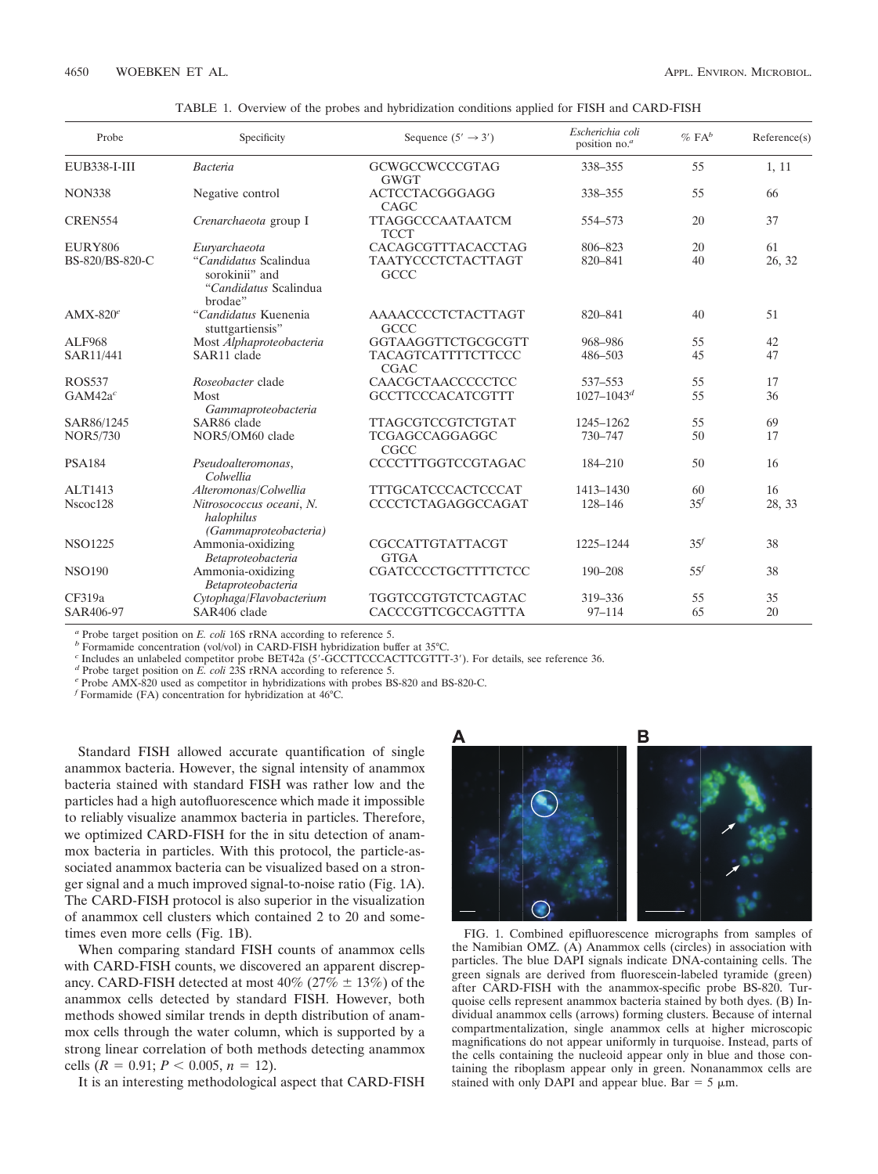| Probe               | Specificity                                                                 | Sequence $(5' \rightarrow 3')$           | Escherichia coli<br>position no. <sup>a</sup> | $\%$ FA <sup>b</sup> | Reference(s) |  |
|---------------------|-----------------------------------------------------------------------------|------------------------------------------|-----------------------------------------------|----------------------|--------------|--|
| EUB338-I-III        | <b>Bacteria</b><br><b>GCWGCCWCCCGTAG</b><br><b>GWGT</b>                     |                                          | 338-355                                       | 55                   | 1, 11        |  |
| <b>NON338</b>       | Negative control                                                            | <b>ACTCCTACGGGAGG</b><br>CAGC            | 338-355                                       | 55                   | 66           |  |
| CREN554             | Crenarchaeota group I                                                       | <b>TTAGGCCCAATAATCM</b><br><b>TCCT</b>   | 554-573                                       | 20                   | 37           |  |
| <b>EURY806</b>      | Eurvarchaeota                                                               | CACAGCGTTTACACCTAG                       | 806-823                                       | 20                   | 61           |  |
| BS-820/BS-820-C     | "Candidatus Scalindua<br>sorokinii" and<br>"Candidatus Scalindua<br>brodae" | <b>TAATYCCCTCTACTTAGT</b><br><b>GCCC</b> | 820-841                                       | 40                   | 26, 32       |  |
| $AMX-820^e$         | "Candidatus Kuenenia<br>stuttgartiensis"                                    | AAAACCCCTCTACTTAGT<br><b>GCCC</b>        | 820-841                                       | 40                   | 51           |  |
| <b>ALF968</b>       | Most Alphaproteobacteria                                                    | GGTAAGGTTCTGCGCGTT                       | 968-986                                       | 55                   | 42           |  |
| SAR11/441           | SAR11 clade                                                                 | <b>TACAGTCATTTTCTTCCC</b><br><b>CGAC</b> | 486-503                                       | 45                   | 47           |  |
| <b>ROS537</b>       | Roseobacter clade                                                           | CAACGCTAACCCCCTCC                        | 537-553                                       | 55                   | 17           |  |
| GAM42a <sup>c</sup> | Most<br>Gammaproteobacteria                                                 | <b>GCCTTCCCACATCGTTT</b>                 | $1027 - 1043^d$                               | 55                   | 36           |  |
| SAR86/1245          | SAR86 clade                                                                 | <b>TTAGCGTCCGTCTGTAT</b>                 | 1245-1262                                     | 55                   | 69           |  |
| <b>NOR5/730</b>     | NOR5/OM60 clade                                                             | TCGAGCCAGGAGGC<br><b>CGCC</b>            | 730-747                                       | 50                   | 17           |  |
| <b>PSA184</b>       | Pseudoalteromonas,<br>Colwellia                                             | CCCCTTTGGTCCGTAGAC                       | 184-210                                       | 50                   | 16           |  |
| ALT1413             | Alteromonas/Colwellia                                                       | <b>TTTGCATCCCACTCCCAT</b>                | 1413-1430                                     | 60                   | 16           |  |
| Nscoc128            | Nitrosococcus oceani, N.<br>halophilus<br>(Gammaproteobacteria)             | CCCCTCTAGAGGCCAGAT                       | 128-146                                       | 35 <sup>f</sup>      | 28, 33       |  |
| <b>NSO1225</b>      | Ammonia-oxidizing<br>Betaproteobacteria                                     | <b>CGCCATTGTATTACGT</b><br><b>GTGA</b>   | 1225-1244                                     | 35 <sup>f</sup>      | 38           |  |
| <b>NSO190</b>       | Ammonia-oxidizing<br>Betaproteobacteria                                     | CGATCCCCTGCTTTTCTCC                      | 190-208                                       | 55 <sup>f</sup>      | 38           |  |
| CF319a              | Cytophaga/Flavobacterium                                                    | TGGTCCGTGTCTCAGTAC                       | 319-336                                       | 55                   | 35           |  |
| SAR406-97           | SAR406 clade                                                                | CACCCGTTCGCCAGTTTA                       | $97 - 114$                                    | 65                   | 20           |  |

TABLE 1. Overview of the probes and hybridization conditions applied for FISH and CARD-FISH

*<sup>a</sup>* Probe target position on *E. coli* 16S rRNA according to reference 5. *<sup>b</sup>* Formamide concentration (vol/vol) in CARD-FISH hybridization buffer at 35°C.

<sup>c</sup> Includes an unlabeled competitor probe BET42a (5'-GCCTTCCCACTTCGTTT-3'). For details, see reference 36.<br><sup>d</sup> Probe target position on *E. coli* 23S rRNA according to reference 5.<br><sup>e</sup> Probe AMX-820 used as competitor in

*<sup>f</sup>* Formamide (FA) concentration for hybridization at 46°C.

Standard FISH allowed accurate quantification of single anammox bacteria. However, the signal intensity of anammox bacteria stained with standard FISH was rather low and the particles had a high autofluorescence which made it impossible to reliably visualize anammox bacteria in particles. Therefore, we optimized CARD-FISH for the in situ detection of anammox bacteria in particles. With this protocol, the particle-associated anammox bacteria can be visualized based on a stronger signal and a much improved signal-to-noise ratio (Fig. 1A). The CARD-FISH protocol is also superior in the visualization of anammox cell clusters which contained 2 to 20 and sometimes even more cells (Fig. 1B).

When comparing standard FISH counts of anammox cells with CARD-FISH counts, we discovered an apparent discrepancy. CARD-FISH detected at most  $40\%$  ( $27\% \pm 13\%$ ) of the anammox cells detected by standard FISH. However, both methods showed similar trends in depth distribution of anammox cells through the water column, which is supported by a strong linear correlation of both methods detecting anammox cells  $(R = 0.91; P < 0.005, n = 12)$ .

It is an interesting methodological aspect that CARD-FISH

В  $\overline{(\ }$ 

FIG. 1. Combined epifluorescence micrographs from samples of the Namibian OMZ. (A) Anammox cells (circles) in association with particles. The blue DAPI signals indicate DNA-containing cells. The green signals are derived from fluorescein-labeled tyramide (green) after CARD-FISH with the anammox-specific probe BS-820. Turquoise cells represent anammox bacteria stained by both dyes. (B) Individual anammox cells (arrows) forming clusters. Because of internal compartmentalization, single anammox cells at higher microscopic magnifications do not appear uniformly in turquoise. Instead, parts of the cells containing the nucleoid appear only in blue and those containing the riboplasm appear only in green. Nonanammox cells are stained with only DAPI and appear blue. Bar =  $5 \mu m$ .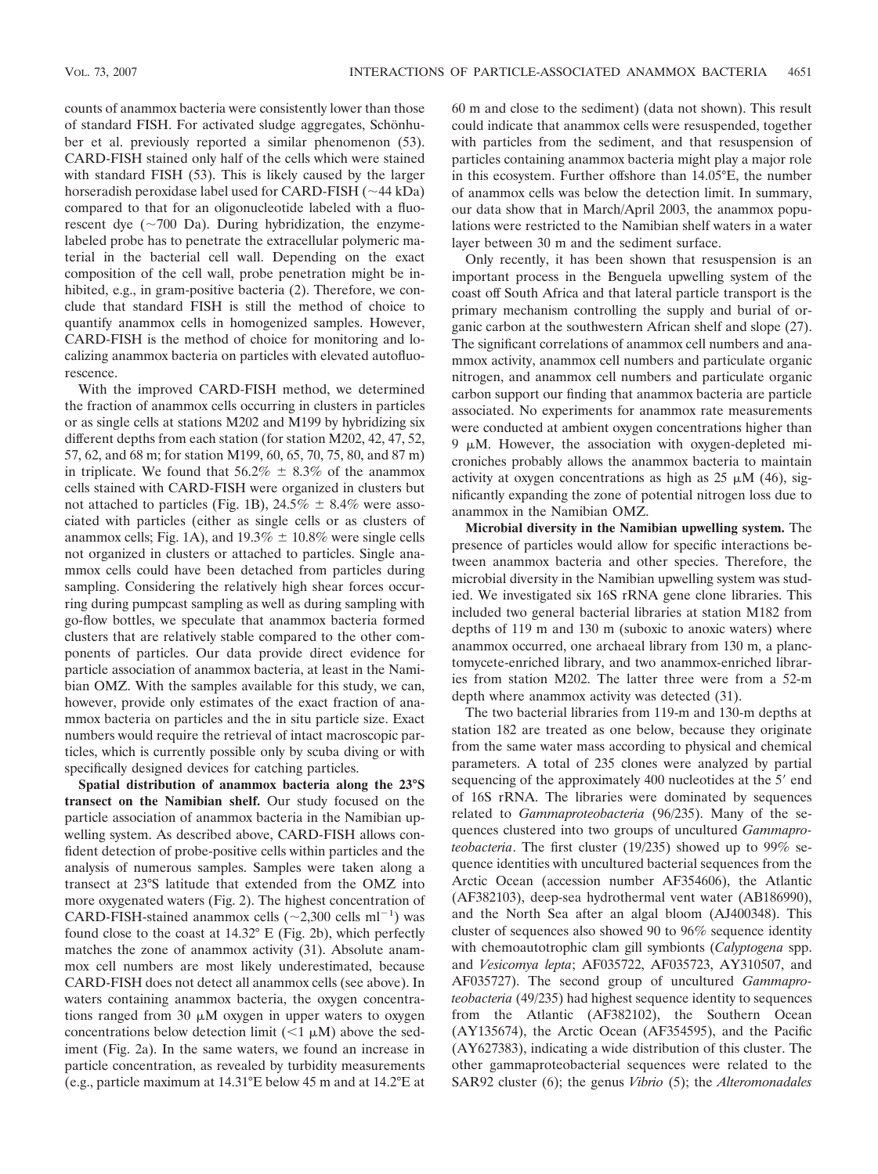counts of anammox bacteria were consistently lower than those of standard FISH. For activated sludge aggregates, Schönhuber et al. previously reported a similar phenomenon (53). CARD-FISH stained only half of the cells which were stained with standard FISH (53). This is likely caused by the larger horseradish peroxidase label used for CARD-FISH  $(\sim 44$  kDa) compared to that for an oligonucleotide labeled with a fluorescent dye  $({\sim}700$  Da). During hybridization, the enzymelabeled probe has to penetrate the extracellular polymeric material in the bacterial cell wall. Depending on the exact composition of the cell wall, probe penetration might be inhibited, e.g., in gram-positive bacteria  $(2)$ . Therefore, we conclude that standard FISH is still the method of choice to quantify anammox cells in homogenized samples. However, CARD-FISH is the method of choice for monitoring and localizing anammox bacteria on particles with elevated autofluorescence.

With the improved CARD-FISH method, we determined the fraction of anammox cells occurring in clusters in particles or as single cells at stations M202 and M199 by hybridizing six different depths from each station (for station M202, 42, 47, 52, 57, 62, and 68 m; for station M199, 60, 65, 70, 75, 80, and 87 m) in triplicate. We found that  $56.2\% \pm 8.3\%$  of the anammox cells stained with CARD-FISH were organized in clusters but not attached to particles (Fig. 1B),  $24.5\% \pm 8.4\%$  were associated with particles (either as single cells or as clusters of anammox cells; Fig. 1A), and  $19.3\% \pm 10.8\%$  were single cells not organized in clusters or attached to particles. Single anammox cells could have been detached from particles during sampling. Considering the relatively high shear forces occurring during pumpcast sampling as well as during sampling with go-flow bottles, we speculate that anammox bacteria formed clusters that are relatively stable compared to the other components of particles. Our data provide direct evidence for particle association of anammox bacteria, at least in the Namibian OMZ. With the samples available for this study, we can, however, provide only estimates of the exact fraction of anammox bacteria on particles and the in situ particle size. Exact numbers would require the retrieval of intact macroscopic particles, which is currently possible only by scuba diving or with specifically designed devices for catching particles.

**Spatial distribution of anammox bacteria along the 23°S transect on the Namibian shelf.** Our study focused on the particle association of anammox bacteria in the Namibian upwelling system. As described above, CARD-FISH allows confident detection of probe-positive cells within particles and the analysis of numerous samples. Samples were taken along a transect at 23°S latitude that extended from the OMZ into more oxygenated waters (Fig. 2). The highest concentration of CARD-FISH-stained anammox cells  $(\sim 2,300 \text{ cells m}^{-1})$  was found close to the coast at 14.32° E (Fig. 2b), which perfectly matches the zone of anammox activity (31). Absolute anammox cell numbers are most likely underestimated, because CARD-FISH does not detect all anammox cells (see above). In waters containing anammox bacteria, the oxygen concentrations ranged from  $30 \mu M$  oxygen in upper waters to oxygen concentrations below detection limit  $(\leq 1 \mu M)$  above the sediment (Fig. 2a). In the same waters, we found an increase in particle concentration, as revealed by turbidity measurements (e.g., particle maximum at 14.31°E below 45 m and at 14.2°E at

60 m and close to the sediment) (data not shown). This result could indicate that anammox cells were resuspended, together with particles from the sediment, and that resuspension of particles containing anammox bacteria might play a major role in this ecosystem. Further offshore than 14.05°E, the number of anammox cells was below the detection limit. In summary, our data show that in March/April 2003, the anammox populations were restricted to the Namibian shelf waters in a water layer between 30 m and the sediment surface.

Only recently, it has been shown that resuspension is an important process in the Benguela upwelling system of the coast off South Africa and that lateral particle transport is the primary mechanism controlling the supply and burial of organic carbon at the southwestern African shelf and slope (27). The significant correlations of anammox cell numbers and anammox activity, anammox cell numbers and particulate organic nitrogen, and anammox cell numbers and particulate organic carbon support our finding that anammox bacteria are particle associated. No experiments for anammox rate measurements were conducted at ambient oxygen concentrations higher than  $9 \mu M$ . However, the association with oxygen-depleted microniches probably allows the anammox bacteria to maintain activity at oxygen concentrations as high as  $25 \mu M$  (46), significantly expanding the zone of potential nitrogen loss due to anammox in the Namibian OMZ.

**Microbial diversity in the Namibian upwelling system.** The presence of particles would allow for specific interactions between anammox bacteria and other species. Therefore, the microbial diversity in the Namibian upwelling system was studied. We investigated six 16S rRNA gene clone libraries. This included two general bacterial libraries at station M182 from depths of 119 m and 130 m (suboxic to anoxic waters) where anammox occurred, one archaeal library from 130 m, a planctomycete-enriched library, and two anammox-enriched libraries from station M202. The latter three were from a 52-m depth where anammox activity was detected (31).

The two bacterial libraries from 119-m and 130-m depths at station 182 are treated as one below, because they originate from the same water mass according to physical and chemical parameters. A total of 235 clones were analyzed by partial sequencing of the approximately 400 nucleotides at the 5' end of 16S rRNA. The libraries were dominated by sequences related to *Gammaproteobacteria* (96/235). Many of the sequences clustered into two groups of uncultured *Gammaproteobacteria*. The first cluster (19/235) showed up to 99% sequence identities with uncultured bacterial sequences from the Arctic Ocean (accession number AF354606), the Atlantic (AF382103), deep-sea hydrothermal vent water (AB186990), and the North Sea after an algal bloom (AJ400348). This cluster of sequences also showed 90 to 96% sequence identity with chemoautotrophic clam gill symbionts (*Calyptogena* spp. and *Vesicomya lepta*; AF035722, AF035723, AY310507, and AF035727). The second group of uncultured *Gammaproteobacteria* (49/235) had highest sequence identity to sequences from the Atlantic (AF382102), the Southern Ocean (AY135674), the Arctic Ocean (AF354595), and the Pacific (AY627383), indicating a wide distribution of this cluster. The other gammaproteobacterial sequences were related to the SAR92 cluster (6); the genus *Vibrio* (5); the *Alteromonadales*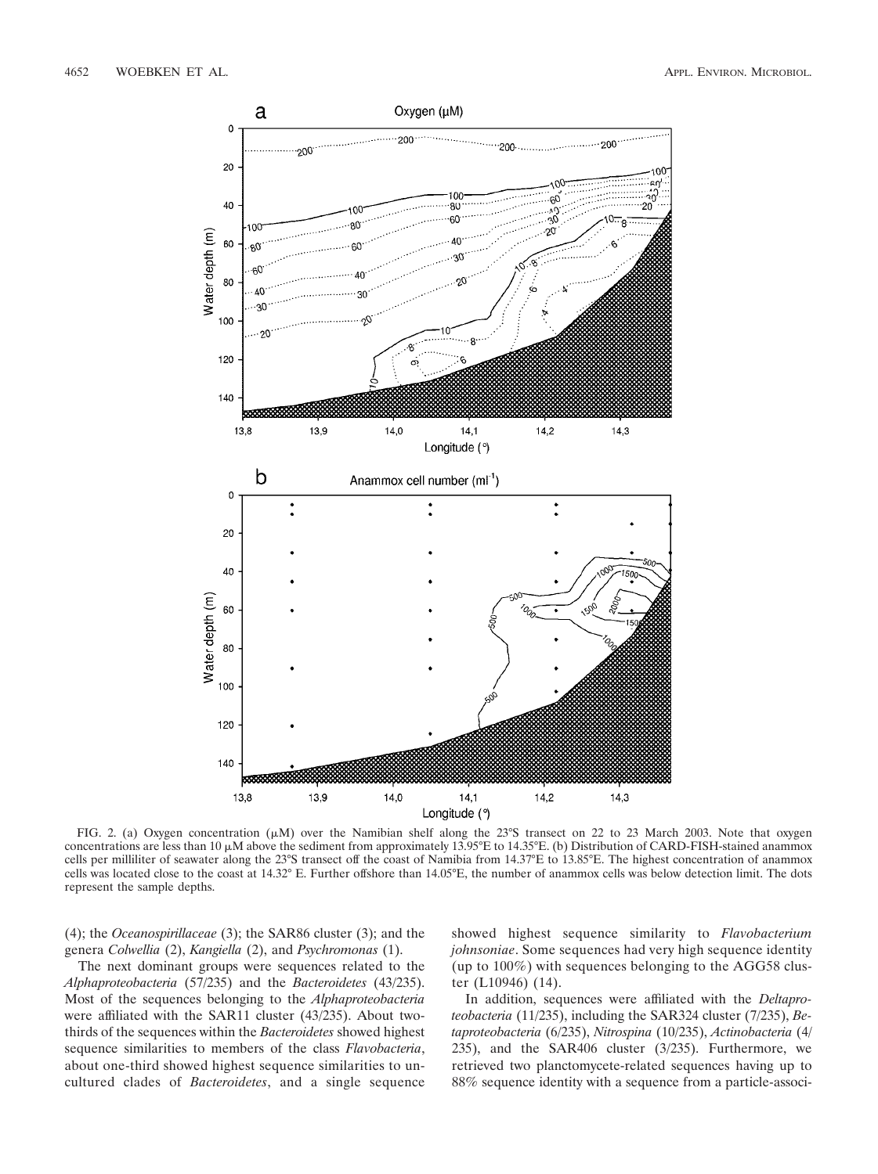

FIG. 2. (a) Oxygen concentration ( $\mu$ M) over the Namibian shelf along the 23°S transect on 22 to 23 March 2003. Note that oxygen concentrations are less than 10  $\mu$ M above the sediment from approximately 13.95°E to 14.35°E. (b) Distribution of CARD-FISH-stained anammox cells per milliliter of seawater along the 23°S transect off the coast of Namibia from 14.37°E to 13.85°E. The highest concentration of anammox cells was located close to the coast at 14.32° E. Further offshore than 14.05°E, the number of anammox cells was below detection limit. The dots represent the sample depths.

(4); the *Oceanospirillaceae* (3); the SAR86 cluster (3); and the genera *Colwellia* (2), *Kangiella* (2), and *Psychromonas* (1).

The next dominant groups were sequences related to the *Alphaproteobacteria* (57/235) and the *Bacteroidetes* (43/235). Most of the sequences belonging to the *Alphaproteobacteria* were affiliated with the SAR11 cluster (43/235). About twothirds of the sequences within the *Bacteroidetes* showed highest sequence similarities to members of the class *Flavobacteria*, about one-third showed highest sequence similarities to uncultured clades of *Bacteroidetes*, and a single sequence

showed highest sequence similarity to *Flavobacterium johnsoniae*. Some sequences had very high sequence identity (up to 100%) with sequences belonging to the AGG58 cluster (L10946) (14).

In addition, sequences were affiliated with the *Deltaproteobacteria* (11/235), including the SAR324 cluster (7/235), *Betaproteobacteria* (6/235), *Nitrospina* (10/235), *Actinobacteria* (4/ 235), and the SAR406 cluster (3/235). Furthermore, we retrieved two planctomycete-related sequences having up to 88% sequence identity with a sequence from a particle-associ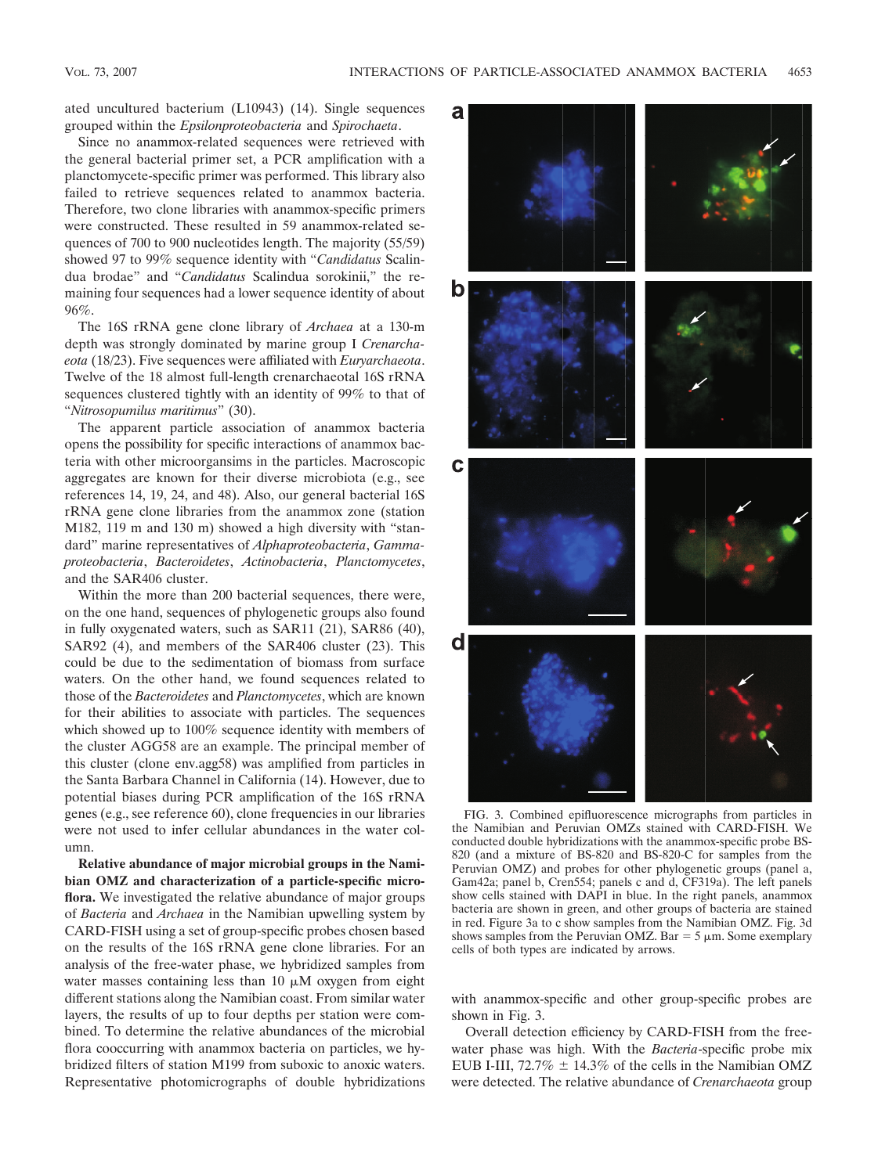ated uncultured bacterium (L10943) (14). Single sequences grouped within the *Epsilonproteobacteria* and *Spirochaeta*.

Since no anammox-related sequences were retrieved with the general bacterial primer set, a PCR amplification with a planctomycete-specific primer was performed. This library also failed to retrieve sequences related to anammox bacteria. Therefore, two clone libraries with anammox-specific primers were constructed. These resulted in 59 anammox-related sequences of 700 to 900 nucleotides length. The majority (55/59) showed 97 to 99% sequence identity with "*Candidatus* Scalindua brodae" and "*Candidatus* Scalindua sorokinii," the remaining four sequences had a lower sequence identity of about 96%.

The 16S rRNA gene clone library of *Archaea* at a 130-m depth was strongly dominated by marine group I *Crenarchaeota* (18/23). Five sequences were affiliated with *Euryarchaeota*. Twelve of the 18 almost full-length crenarchaeotal 16S rRNA sequences clustered tightly with an identity of 99% to that of "*Nitrosopumilus maritimus*" (30).

The apparent particle association of anammox bacteria opens the possibility for specific interactions of anammox bacteria with other microorgansims in the particles. Macroscopic aggregates are known for their diverse microbiota (e.g., see references 14, 19, 24, and 48). Also, our general bacterial 16S rRNA gene clone libraries from the anammox zone (station M182, 119 m and 130 m) showed a high diversity with "standard" marine representatives of *Alphaproteobacteria*, *Gammaproteobacteria*, *Bacteroidetes*, *Actinobacteria*, *Planctomycetes*, and the SAR406 cluster.

Within the more than 200 bacterial sequences, there were, on the one hand, sequences of phylogenetic groups also found in fully oxygenated waters, such as SAR11 (21), SAR86 (40), SAR92 (4), and members of the SAR406 cluster (23). This could be due to the sedimentation of biomass from surface waters. On the other hand, we found sequences related to those of the *Bacteroidetes* and *Planctomycetes*, which are known for their abilities to associate with particles. The sequences which showed up to 100% sequence identity with members of the cluster AGG58 are an example. The principal member of this cluster (clone env.agg58) was amplified from particles in the Santa Barbara Channel in California (14). However, due to potential biases during PCR amplification of the 16S rRNA genes (e.g., see reference 60), clone frequencies in our libraries were not used to infer cellular abundances in the water column.

**Relative abundance of major microbial groups in the Namibian OMZ and characterization of a particle-specific microflora.** We investigated the relative abundance of major groups of *Bacteria* and *Archaea* in the Namibian upwelling system by CARD-FISH using a set of group-specific probes chosen based on the results of the 16S rRNA gene clone libraries. For an analysis of the free-water phase, we hybridized samples from water masses containing less than  $10 \mu M$  oxygen from eight different stations along the Namibian coast. From similar water layers, the results of up to four depths per station were combined. To determine the relative abundances of the microbial flora cooccurring with anammox bacteria on particles, we hybridized filters of station M199 from suboxic to anoxic waters. Representative photomicrographs of double hybridizations



FIG. 3. Combined epifluorescence micrographs from particles in the Namibian and Peruvian OMZs stained with CARD-FISH. We conducted double hybridizations with the anammox-specific probe BS-820 (and a mixture of BS-820 and BS-820-C for samples from the Peruvian OMZ) and probes for other phylogenetic groups (panel a, Gam42a; panel b, Cren554; panels c and d, CF319a). The left panels show cells stained with DAPI in blue. In the right panels, anammox bacteria are shown in green, and other groups of bacteria are stained in red. Figure 3a to c show samples from the Namibian OMZ. Fig. 3d shows samples from the Peruvian OMZ. Bar  $=$  5  $\mu$ m. Some exemplary cells of both types are indicated by arrows.

with anammox-specific and other group-specific probes are shown in Fig. 3.

Overall detection efficiency by CARD-FISH from the freewater phase was high. With the *Bacteria*-specific probe mix EUB I-III, 72.7%  $\pm$  14.3% of the cells in the Namibian OMZ were detected. The relative abundance of *Crenarchaeota* group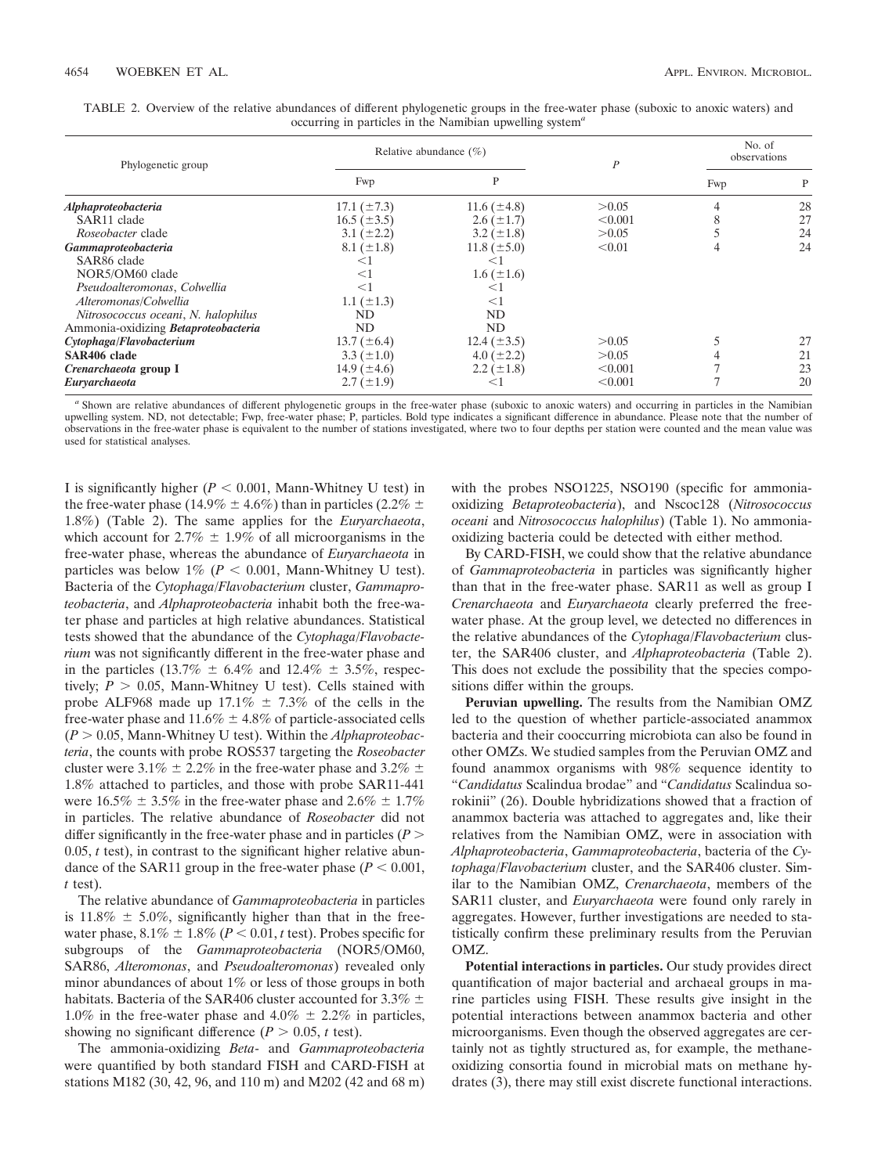| Phylogenetic group                   |                  | Relative abundance $(\% )$ | P       | No. of<br>observations |    |
|--------------------------------------|------------------|----------------------------|---------|------------------------|----|
|                                      | Fwp              | P                          |         | Fwp                    | P  |
| Alphaproteobacteria                  | 17.1 $(\pm 7.3)$ | 11.6 $(\pm 4.8)$           | > 0.05  |                        | 28 |
| SAR11 clade                          | $16.5 (\pm 3.5)$ | $2.6 \ (\pm 1.7)$          | < 0.001 |                        | 27 |
| <i>Roseobacter</i> clade             | $3.1 (\pm 2.2)$  | $3.2 \ (\pm 1.8)$          | > 0.05  |                        | 24 |
| Gammaproteobacteria                  | $8.1 (\pm 1.8)$  | 11.8 $(\pm 5.0)$           | < 0.01  |                        | 24 |
| SAR86 clade                          | ≤1               | $\leq$ 1                   |         |                        |    |
| NOR5/OM60 clade                      | $<$ 1            | $1.6 (\pm 1.6)$            |         |                        |    |
| Pseudoalteromonas, Colwellia         | $<$ 1            | $\leq$ 1                   |         |                        |    |
| Alteromonas/Colwellia                | $1.1 (\pm 1.3)$  | $\leq$ 1                   |         |                        |    |
| Nitrosococcus oceani, N. halophilus  | ND               | ND                         |         |                        |    |
| Ammonia-oxidizing Betaproteobacteria | ND               | ND                         |         |                        |    |
| Cytophaga/Flavobacterium             | 13.7 $(\pm 6.4)$ | 12.4 $(\pm 3.5)$           | > 0.05  |                        | 27 |
| SAR406 clade                         | $3.3 (\pm 1.0)$  | $4.0 (\pm 2.2)$            | > 0.05  |                        | 21 |
| Crenarchaeota group I                | 14.9 $(\pm 4.6)$ | 2.2 $(\pm 1.8)$            | < 0.001 |                        | 23 |
| Euryarchaeota                        | $2.7 (\pm 1.9)$  | $\leq$ 1                   | < 0.001 |                        | 20 |

| TABLE 2. Overview of the relative abundances of different phylogenetic groups in the free-water phase (suboxic to anoxic waters) and |  |  |  |  |  |  |  |  |  |
|--------------------------------------------------------------------------------------------------------------------------------------|--|--|--|--|--|--|--|--|--|
| occurring in particles in the Namibian upwelling system <sup>a</sup>                                                                 |  |  |  |  |  |  |  |  |  |

*<sup>a</sup>* Shown are relative abundances of different phylogenetic groups in the free-water phase (suboxic to anoxic waters) and occurring in particles in the Namibian upwelling system. ND, not detectable; Fwp, free-water phase; P, particles. Bold type indicates a significant difference in abundance. Please note that the number of observations in the free-water phase is equivalent to the number of stations investigated, where two to four depths per station were counted and the mean value was used for statistical analyses.

I is significantly higher  $(P < 0.001$ , Mann-Whitney U test) in the free-water phase (14.9%  $\pm$  4.6%) than in particles (2.2%  $\pm$ 1.8%) (Table 2). The same applies for the *Euryarchaeota*, which account for  $2.7\% \pm 1.9\%$  of all microorganisms in the free-water phase, whereas the abundance of *Euryarchaeota* in particles was below  $1\%$  ( $P < 0.001$ , Mann-Whitney U test). Bacteria of the *Cytophaga/Flavobacterium* cluster, *Gammaproteobacteria*, and *Alphaproteobacteria* inhabit both the free-water phase and particles at high relative abundances. Statistical tests showed that the abundance of the *Cytophaga/Flavobacterium* was not significantly different in the free-water phase and in the particles (13.7%  $\pm$  6.4% and 12.4%  $\pm$  3.5%, respectively;  $P > 0.05$ , Mann-Whitney U test). Cells stained with probe ALF968 made up  $17.1\% \pm 7.3\%$  of the cells in the free-water phase and  $11.6\% \pm 4.8\%$  of particle-associated cells (*P* 0.05, Mann-Whitney U test). Within the *Alphaproteobacteria*, the counts with probe ROS537 targeting the *Roseobacter* cluster were 3.1%  $\pm$  2.2% in the free-water phase and 3.2%  $\pm$ 1.8% attached to particles, and those with probe SAR11-441 were  $16.5\% \pm 3.5\%$  in the free-water phase and  $2.6\% \pm 1.7\%$ in particles. The relative abundance of *Roseobacter* did not differ significantly in the free-water phase and in particles (*P* 0.05, *t* test), in contrast to the significant higher relative abundance of the SAR11 group in the free-water phase  $(P < 0.001$ , *t* test).

The relative abundance of *Gammaproteobacteria* in particles is 11.8%  $\pm$  5.0%, significantly higher than that in the freewater phase,  $8.1\% \pm 1.8\%$  ( $P < 0.01$ , *t* test). Probes specific for subgroups of the *Gammaproteobacteria* (NOR5/OM60, SAR86, *Alteromonas*, and *Pseudoalteromonas*) revealed only minor abundances of about 1% or less of those groups in both habitats. Bacteria of the SAR406 cluster accounted for 3.3%  $\pm$ 1.0% in the free-water phase and 4.0%  $\pm$  2.2% in particles, showing no significant difference  $(P > 0.05, t \text{ test})$ .

The ammonia-oxidizing *Beta*- and *Gammaproteobacteria* were quantified by both standard FISH and CARD-FISH at stations M182 (30, 42, 96, and 110 m) and M202 (42 and 68 m) with the probes NSO1225, NSO190 (specific for ammoniaoxidizing *Betaproteobacteria*), and Nscoc128 (*Nitrosococcus oceani* and *Nitrosococcus halophilus*) (Table 1). No ammoniaoxidizing bacteria could be detected with either method.

By CARD-FISH, we could show that the relative abundance of *Gammaproteobacteria* in particles was significantly higher than that in the free-water phase. SAR11 as well as group I *Crenarchaeota* and *Euryarchaeota* clearly preferred the freewater phase. At the group level, we detected no differences in the relative abundances of the *Cytophaga/Flavobacterium* cluster, the SAR406 cluster, and *Alphaproteobacteria* (Table 2). This does not exclude the possibility that the species compositions differ within the groups.

**Peruvian upwelling.** The results from the Namibian OMZ led to the question of whether particle-associated anammox bacteria and their cooccurring microbiota can also be found in other OMZs. We studied samples from the Peruvian OMZ and found anammox organisms with 98% sequence identity to "*Candidatus* Scalindua brodae" and "*Candidatus* Scalindua sorokinii" (26). Double hybridizations showed that a fraction of anammox bacteria was attached to aggregates and, like their relatives from the Namibian OMZ, were in association with *Alphaproteobacteria*, *Gammaproteobacteria*, bacteria of the *Cytophaga/Flavobacterium* cluster, and the SAR406 cluster. Similar to the Namibian OMZ, *Crenarchaeota*, members of the SAR11 cluster, and *Euryarchaeota* were found only rarely in aggregates. However, further investigations are needed to statistically confirm these preliminary results from the Peruvian OMZ.

**Potential interactions in particles.** Our study provides direct quantification of major bacterial and archaeal groups in marine particles using FISH. These results give insight in the potential interactions between anammox bacteria and other microorganisms. Even though the observed aggregates are certainly not as tightly structured as, for example, the methaneoxidizing consortia found in microbial mats on methane hydrates (3), there may still exist discrete functional interactions.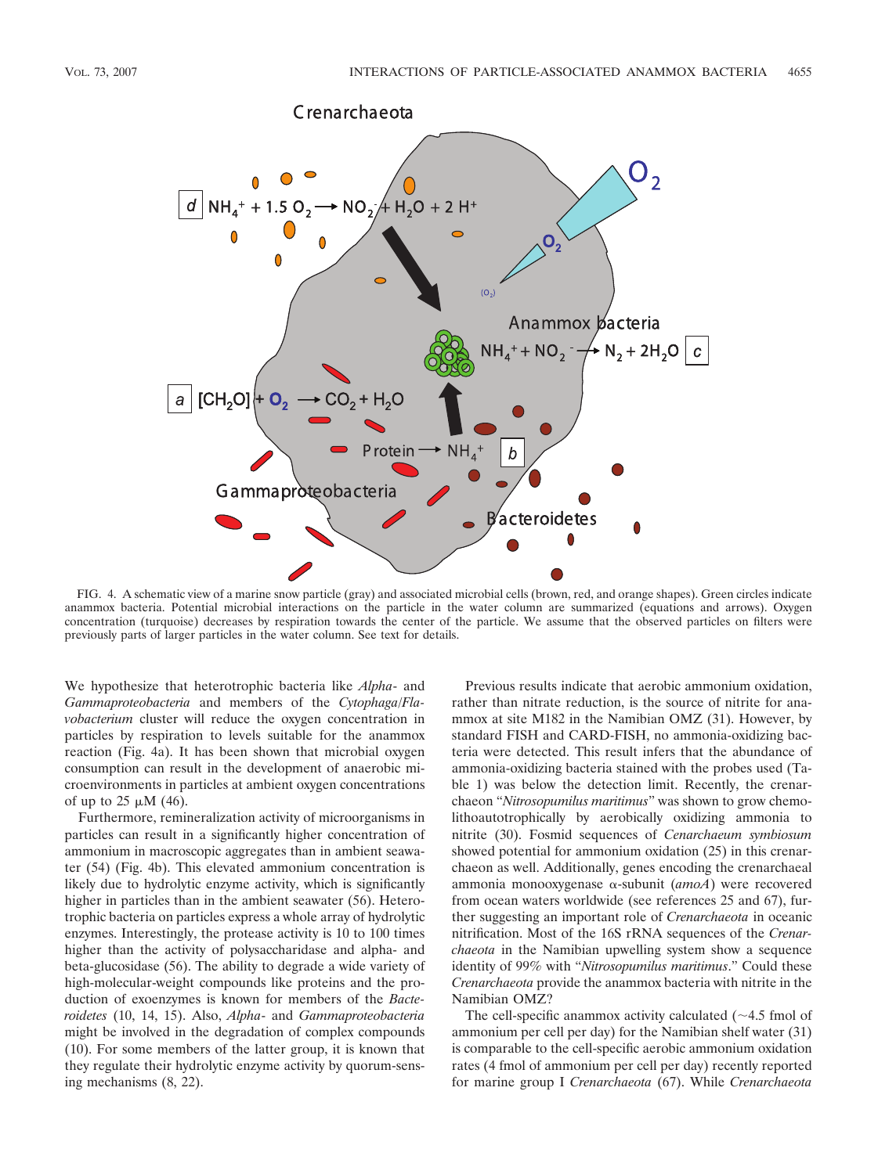

FIG. 4. A schematic view of a marine snow particle (gray) and associated microbial cells (brown, red, and orange shapes). Green circles indicate anammox bacteria. Potential microbial interactions on the particle in the water column are summarized (equations and arrows). Oxygen concentration (turquoise) decreases by respiration towards the center of the particle. We assume that the observed particles on filters were previously parts of larger particles in the water column. See text for details.

We hypothesize that heterotrophic bacteria like *Alpha*- and *Gammaproteobacteria* and members of the *Cytophaga/Flavobacterium* cluster will reduce the oxygen concentration in particles by respiration to levels suitable for the anammox reaction (Fig. 4a). It has been shown that microbial oxygen consumption can result in the development of anaerobic microenvironments in particles at ambient oxygen concentrations of up to  $25 \mu M$  (46).

Furthermore, remineralization activity of microorganisms in particles can result in a significantly higher concentration of ammonium in macroscopic aggregates than in ambient seawater (54) (Fig. 4b). This elevated ammonium concentration is likely due to hydrolytic enzyme activity, which is significantly higher in particles than in the ambient seawater (56). Heterotrophic bacteria on particles express a whole array of hydrolytic enzymes. Interestingly, the protease activity is 10 to 100 times higher than the activity of polysaccharidase and alpha- and beta-glucosidase (56). The ability to degrade a wide variety of high-molecular-weight compounds like proteins and the production of exoenzymes is known for members of the *Bacteroidetes* (10, 14, 15). Also, *Alpha*- and *Gammaproteobacteria* might be involved in the degradation of complex compounds (10). For some members of the latter group, it is known that they regulate their hydrolytic enzyme activity by quorum-sensing mechanisms (8, 22).

Previous results indicate that aerobic ammonium oxidation, rather than nitrate reduction, is the source of nitrite for anammox at site M182 in the Namibian OMZ (31). However, by standard FISH and CARD-FISH, no ammonia-oxidizing bacteria were detected. This result infers that the abundance of ammonia-oxidizing bacteria stained with the probes used (Table 1) was below the detection limit. Recently, the crenarchaeon "*Nitrosopumilus maritimus*" was shown to grow chemolithoautotrophically by aerobically oxidizing ammonia to nitrite (30). Fosmid sequences of *Cenarchaeum symbiosum* showed potential for ammonium oxidation (25) in this crenarchaeon as well. Additionally, genes encoding the crenarchaeal ammonia monooxygenase -subunit (*amoA*) were recovered from ocean waters worldwide (see references 25 and 67), further suggesting an important role of *Crenarchaeota* in oceanic nitrification. Most of the 16S rRNA sequences of the *Crenarchaeota* in the Namibian upwelling system show a sequence identity of 99% with "*Nitrosopumilus maritimus*." Could these *Crenarchaeota* provide the anammox bacteria with nitrite in the Namibian OMZ?

The cell-specific anammox activity calculated  $(\sim 4.5 \text{ fmol of})$ ammonium per cell per day) for the Namibian shelf water (31) is comparable to the cell-specific aerobic ammonium oxidation rates (4 fmol of ammonium per cell per day) recently reported for marine group I *Crenarchaeota* (67). While *Crenarchaeota*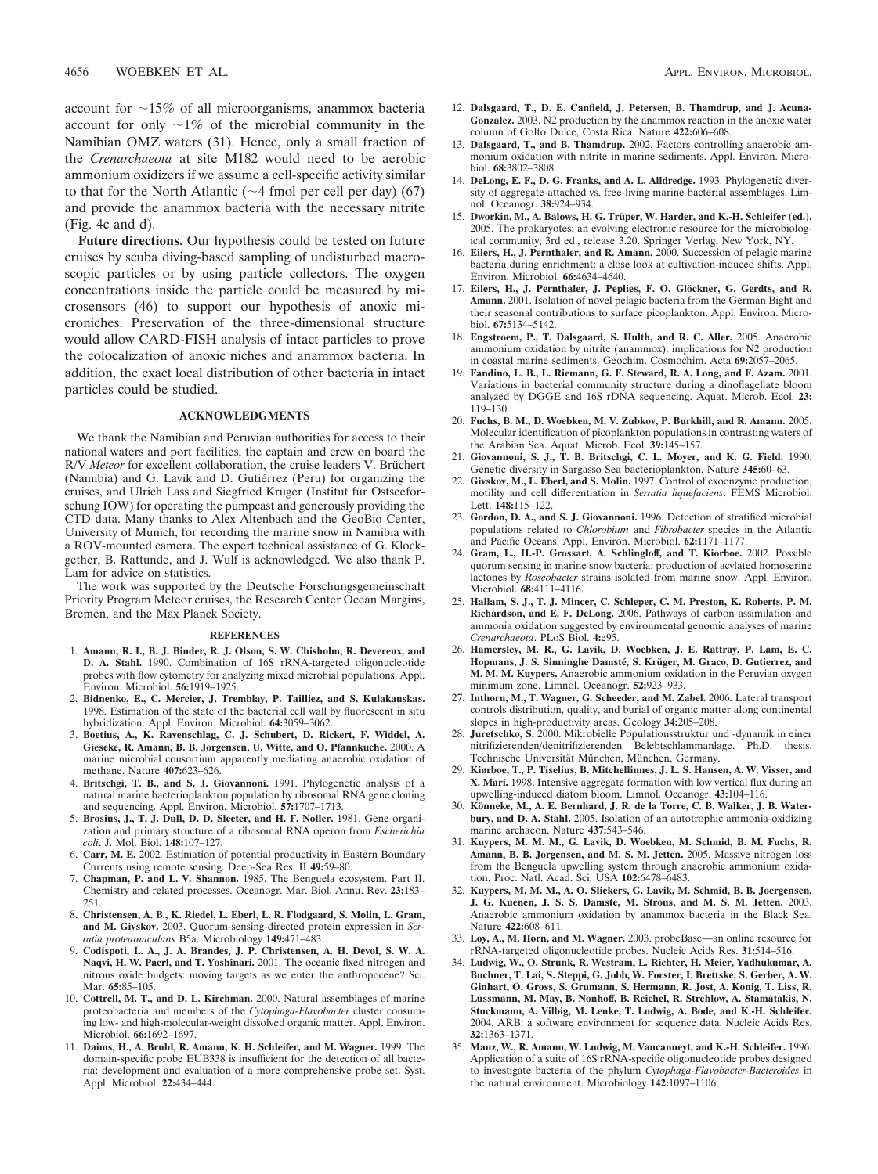account for  $\sim$ 15% of all microorganisms, anammox bacteria account for only  $\sim 1\%$  of the microbial community in the Namibian OMZ waters (31). Hence, only a small fraction of the *Crenarchaeota* at site M182 would need to be aerobic ammonium oxidizers if we assume a cell-specific activity similar to that for the North Atlantic ( $\sim$ 4 fmol per cell per day) (67) and provide the anammox bacteria with the necessary nitrite (Fig. 4c and d).

**Future directions.** Our hypothesis could be tested on future cruises by scuba diving-based sampling of undisturbed macroscopic particles or by using particle collectors. The oxygen concentrations inside the particle could be measured by microsensors (46) to support our hypothesis of anoxic microniches. Preservation of the three-dimensional structure would allow CARD-FISH analysis of intact particles to prove the colocalization of anoxic niches and anammox bacteria. In addition, the exact local distribution of other bacteria in intact particles could be studied.

## **ACKNOWLEDGMENTS**

We thank the Namibian and Peruvian authorities for access to their national waters and port facilities, the captain and crew on board the R/V Meteor for excellent collaboration, the cruise leaders V. Brüchert (Namibia) and G. Lavik and D. Gutiérrez (Peru) for organizing the cruises, and Ulrich Lass and Siegfried Krüger (Institut für Ostseeforschung IOW) for operating the pumpcast and generously providing the CTD data. Many thanks to Alex Altenbach and the GeoBio Center, University of Munich, for recording the marine snow in Namibia with a ROV-mounted camera. The expert technical assistance of G. Klockgether, B. Rattunde, and J. Wulf is acknowledged. We also thank P. Lam for advice on statistics.

The work was supported by the Deutsche Forschungsgemeinschaft Priority Program Meteor cruises, the Research Center Ocean Margins, Bremen, and the Max Planck Society.

#### **REFERENCES**

- 1. **Amann, R. I., B. J. Binder, R. J. Olson, S. W. Chisholm, R. Devereux, and D. A. Stahl.** 1990. Combination of 16S rRNA-targeted oligonucleotide probes with flow cytometry for analyzing mixed microbial populations. Appl. Environ. Microbiol. **56:**1919–1925.
- 2. **Bidnenko, E., C. Mercier, J. Tremblay, P. Tailliez, and S. Kulakauskas.** 1998. Estimation of the state of the bacterial cell wall by fluorescent in situ hybridization. Appl. Environ. Microbiol. **64:**3059–3062.
- 3. **Boetius, A., K. Ravenschlag, C. J. Schubert, D. Rickert, F. Widdel, A. Gieseke, R. Amann, B. B. Jorgensen, U. Witte, and O. Pfannkuche.** 2000. A marine microbial consortium apparently mediating anaerobic oxidation of methane. Nature **407:**623–626.
- 4. **Britschgi, T. B., and S. J. Giovannoni.** 1991. Phylogenetic analysis of a natural marine bacterioplankton population by ribosomal RNA gene cloning and sequencing. Appl. Environ. Microbiol. **57:**1707–1713.
- 5. **Brosius, J., T. J. Dull, D. D. Sleeter, and H. F. Noller.** 1981. Gene organization and primary structure of a ribosomal RNA operon from *Escherichia coli*. J. Mol. Biol. **148:**107–127.
- 6. **Carr, M. E.** 2002. Estimation of potential productivity in Eastern Boundary Currents using remote sensing. Deep-Sea Res. II **49:**59–80.
- 7. **Chapman, P. and L. V. Shannon.** 1985. The Benguela ecosystem. Part II. Chemistry and related processes. Oceanogr. Mar. Biol. Annu. Rev. **23:**183– 251.
- 8. **Christensen, A. B., K. Riedel, L. Eberl, L. R. Flodgaard, S. Molin, L. Gram, and M. Givskov.** 2003. Quorum-sensing-directed protein expression in *Serratia proteamaculans* B5a. Microbiology **149:**471–483.
- 9. **Codispoti, L. A., J. A. Brandes, J. P. Christensen, A. H. Devol, S. W. A. Naqvi, H. W. Paerl, and T. Yoshinari.** 2001. The oceanic fixed nitrogen and nitrous oxide budgets: moving targets as we enter the anthropocene? Sci. Mar. **65:**85–105.
- 10. **Cottrell, M. T., and D. L. Kirchman.** 2000. Natural assemblages of marine proteobacteria and members of the *Cytophaga-Flavobacter* cluster consuming low- and high-molecular-weight dissolved organic matter. Appl. Environ. Microbiol. **66:**1692–1697.
- 11. **Daims, H., A. Bruhl, R. Amann, K. H. Schleifer, and M. Wagner.** 1999. The domain-specific probe EUB338 is insufficient for the detection of all bacteria: development and evaluation of a more comprehensive probe set. Syst. Appl. Microbiol. **22:**434–444.
- 12. **Dalsgaard, T., D. E. Canfield, J. Petersen, B. Thamdrup, and J. Acuna-Gonzalez.** 2003. N2 production by the anammox reaction in the anoxic water column of Golfo Dulce, Costa Rica. Nature **422:**606–608.
- 13. **Dalsgaard, T., and B. Thamdrup.** 2002. Factors controlling anaerobic ammonium oxidation with nitrite in marine sediments. Appl. Environ. Microbiol. **68:**3802–3808.
- 14. **DeLong, E. F., D. G. Franks, and A. L. Alldredge.** 1993. Phylogenetic diversity of aggregate-attached vs. free-living marine bacterial assemblages. Limnol. Oceanogr. **38:**924–934.
- 15. Dworkin, M., A. Balows, H. G. Trüper, W. Harder, and K.-H. Schleifer (ed.). 2005. The prokaryotes: an evolving electronic resource for the microbiological community, 3rd ed., release 3.20. Springer Verlag, New York, NY.
- 16. **Eilers, H., J. Pernthaler, and R. Amann.** 2000. Succession of pelagic marine bacteria during enrichment: a close look at cultivation-induced shifts. Appl. Environ. Microbiol. **66:**4634–4640.
- 17. Eilers, H., J. Pernthaler, J. Peplies, F. O. Glöckner, G. Gerdts, and R. **Amann.** 2001. Isolation of novel pelagic bacteria from the German Bight and their seasonal contributions to surface picoplankton. Appl. Environ. Microbiol. **67:**5134–5142.
- 18. **Engstroem, P., T. Dalsgaard, S. Hulth, and R. C. Aller.** 2005. Anaerobic ammonium oxidation by nitrite (anammox): implications for N2 production in coastal marine sediments. Geochim. Cosmochim. Acta **69:**2057–2065.
- 19. **Fandino, L. B., L. Riemann, G. F. Steward, R. A. Long, and F. Azam.** 2001. Variations in bacterial community structure during a dinoflagellate bloom analyzed by DGGE and 16S rDNA sequencing. Aquat. Microb. Ecol. **23:** 119–130.
- 20. **Fuchs, B. M., D. Woebken, M. V. Zubkov, P. Burkhill, and R. Amann.** 2005. Molecular identification of picoplankton populations in contrasting waters of the Arabian Sea. Aquat. Microb. Ecol. **39:**145–157.
- 21. **Giovannoni, S. J., T. B. Britschgi, C. L. Moyer, and K. G. Field.** 1990. Genetic diversity in Sargasso Sea bacterioplankton. Nature **345:**60–63.
- 22. **Givskov, M., L. Eberl, and S. Molin.** 1997. Control of exoenzyme production, motility and cell differentiation in *Serratia liquefaciens*. FEMS Microbiol. Lett. **148:**115–122.
- 23. **Gordon, D. A., and S. J. Giovannoni.** 1996. Detection of stratified microbial populations related to *Chlorobium* and *Fibrobacter* species in the Atlantic and Pacific Oceans. Appl. Environ. Microbiol. **62:**1171–1177.
- 24. **Gram, L., H.-P. Grossart, A. Schlingloff, and T. Kiorboe.** 2002. Possible quorum sensing in marine snow bacteria: production of acylated homoserine lactones by *Roseobacter* strains isolated from marine snow. Appl. Environ. Microbiol. **68:**4111–4116.
- 25. **Hallam, S. J., T. J. Mincer, C. Schleper, C. M. Preston, K. Roberts, P. M. Richardson, and E. F. DeLong.** 2006. Pathways of carbon assimilation and ammonia oxidation suggested by environmental genomic analyses of marine *Crenarchaeota*. PLoS Biol. **4:**e95.
- 26. **Hamersley, M. R., G. Lavik, D. Woebken, J. E. Rattray, P. Lam, E. C.** Hopmans, J. S. Sinninghe Damsté, S. Krüger, M. Graco, D. Gutierrez, and **M. M. M. Kuypers.** Anaerobic ammonium oxidation in the Peruvian oxygen minimum zone. Limnol. Oceanogr. **52:**923–933.
- 27. **Inthorn, M., T. Wagner, G. Scheeder, and M. Zabel.** 2006. Lateral transport controls distribution, quality, and burial of organic matter along continental slopes in high-productivity areas. Geology **34:**205–208.
- 28. **Juretschko, S.** 2000. Mikrobielle Populationsstruktur und -dynamik in einer nitrifizierenden/denitrifizierenden Belebtschlammanlage. Ph.D. thesis. Technische Universität München, München, Germany.
- 29. **Kiørboe, T., P. Tiselius, B. Mitchellinnes, J. L. S. Hansen, A. W. Visser, and X. Mari.** 1998. Intensive aggregate formation with low vertical flux during an upwelling-induced diatom bloom. Limnol. Oceanogr. **43:**104–116.
- 30. Könneke, M., A. E. Bernhard, J. R. de la Torre, C. B. Walker, J. B. Water**bury, and D. A. Stahl.** 2005. Isolation of an autotrophic ammonia-oxidizing marine archaeon. Nature **437:**543–546.
- 31. **Kuypers, M. M. M., G. Lavik, D. Woebken, M. Schmid, B. M. Fuchs, R. Amann, B. B. Jorgensen, and M. S. M. Jetten.** 2005. Massive nitrogen loss from the Benguela upwelling system through anaerobic ammonium oxida-tion. Proc. Natl. Acad. Sci. USA **102:**6478–6483.
- 32. **Kuypers, M. M. M., A. O. Sliekers, G. Lavik, M. Schmid, B. B. Joergensen, J. G. Kuenen, J. S. S. Damste, M. Strous, and M. S. M. Jetten.** 2003. Anaerobic ammonium oxidation by anammox bacteria in the Black Sea. Nature **422:**608–611.
- 33. **Loy, A., M. Horn, and M. Wagner.** 2003. probeBase—an online resource for rRNA-targeted oligonucleotide probes. Nucleic Acids Res. **31:**514–516.
- 34. **Ludwig, W., O. Strunk, R. Westram, L. Richter, H. Meier, Yadhukumar, A. Buchner, T. Lai, S. Steppi, G. Jobb, W. Forster, I. Brettske, S. Gerber, A. W. Ginhart, O. Gross, S. Grumann, S. Hermann, R. Jost, A. Konig, T. Liss, R. Lussmann, M. May, B. Nonhoff, B. Reichel, R. Strehlow, A. Stamatakis, N. Stuckmann, A. Vilbig, M. Lenke, T. Ludwig, A. Bode, and K.-H. Schleifer.** 2004. ARB: a software environment for sequence data. Nucleic Acids Res. **32:**1363–1371.
- 35. **Manz, W., R. Amann, W. Ludwig, M. Vancanneyt, and K.-H. Schleifer.** 1996. Application of a suite of 16S rRNA-specific oligonucleotide probes designed to investigate bacteria of the phylum *Cytophaga-Flavobacter-Bacteroides* in the natural environment. Microbiology **142:**1097–1106.